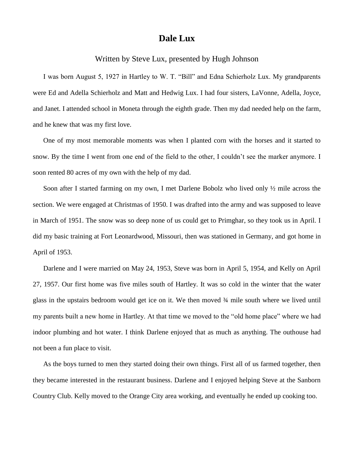## **Dale Lux**

Written by Steve Lux, presented by Hugh Johnson

I was born August 5, 1927 in Hartley to W. T. "Bill" and Edna Schierholz Lux. My grandparents were Ed and Adella Schierholz and Matt and Hedwig Lux. I had four sisters, LaVonne, Adella, Joyce, and Janet. I attended school in Moneta through the eighth grade. Then my dad needed help on the farm, and he knew that was my first love.

One of my most memorable moments was when I planted corn with the horses and it started to snow. By the time I went from one end of the field to the other, I couldn't see the marker anymore. I soon rented 80 acres of my own with the help of my dad.

Soon after I started farming on my own, I met Darlene Bobolz who lived only ½ mile across the section. We were engaged at Christmas of 1950. I was drafted into the army and was supposed to leave in March of 1951. The snow was so deep none of us could get to Primghar, so they took us in April. I did my basic training at Fort Leonardwood, Missouri, then was stationed in Germany, and got home in April of 1953.

Darlene and I were married on May 24, 1953, Steve was born in April 5, 1954, and Kelly on April 27, 1957. Our first home was five miles south of Hartley. It was so cold in the winter that the water glass in the upstairs bedroom would get ice on it. We then moved ¾ mile south where we lived until my parents built a new home in Hartley. At that time we moved to the "old home place" where we had indoor plumbing and hot water. I think Darlene enjoyed that as much as anything. The outhouse had not been a fun place to visit.

As the boys turned to men they started doing their own things. First all of us farmed together, then they became interested in the restaurant business. Darlene and I enjoyed helping Steve at the Sanborn Country Club. Kelly moved to the Orange City area working, and eventually he ended up cooking too.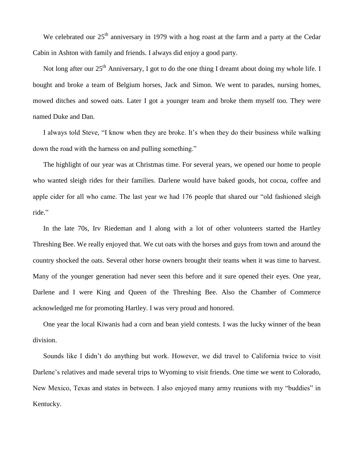We celebrated our 25<sup>th</sup> anniversary in 1979 with a hog roast at the farm and a party at the Cedar Cabin in Ashton with family and friends. I always did enjoy a good party.

Not long after our  $25<sup>th</sup>$  Anniversary, I got to do the one thing I dreamt about doing my whole life. I bought and broke a team of Belgium horses, Jack and Simon. We went to parades, nursing homes, mowed ditches and sowed oats. Later I got a younger team and broke them myself too. They were named Duke and Dan.

I always told Steve, "I know when they are broke. It's when they do their business while walking down the road with the harness on and pulling something."

The highlight of our year was at Christmas time. For several years, we opened our home to people who wanted sleigh rides for their families. Darlene would have baked goods, hot cocoa, coffee and apple cider for all who came. The last year we had 176 people that shared our "old fashioned sleigh ride."

In the late 70s, Irv Riedeman and I along with a lot of other volunteers started the Hartley Threshing Bee. We really enjoyed that. We cut oats with the horses and guys from town and around the country shocked the oats. Several other horse owners brought their teams when it was time to harvest. Many of the younger generation had never seen this before and it sure opened their eyes. One year, Darlene and I were King and Queen of the Threshing Bee. Also the Chamber of Commerce acknowledged me for promoting Hartley. I was very proud and honored.

One year the local Kiwanis had a corn and bean yield contests. I was the lucky winner of the bean division.

Sounds like I didn't do anything but work. However, we did travel to California twice to visit Darlene's relatives and made several trips to Wyoming to visit friends. One time we went to Colorado, New Mexico, Texas and states in between. I also enjoyed many army reunions with my "buddies" in Kentucky.